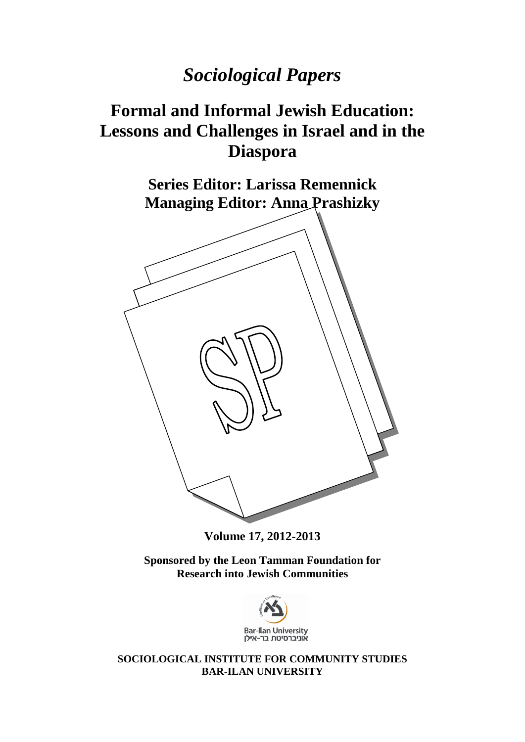# *Sociological Papers*

# **Formal and Informal Jewish Education: Lessons and Challenges in Israel and in the Diaspora**

**Series Editor: Larissa Remennick Managing Editor: Anna Prashizky**



**Volume 17, 2012-2013**

**Sponsored by the Leon Tamman Foundation for Research into Jewish Communities**



**SOCIOLOGICAL INSTITUTE FOR COMMUNITY STUDIES BAR-ILAN UNIVERSITY**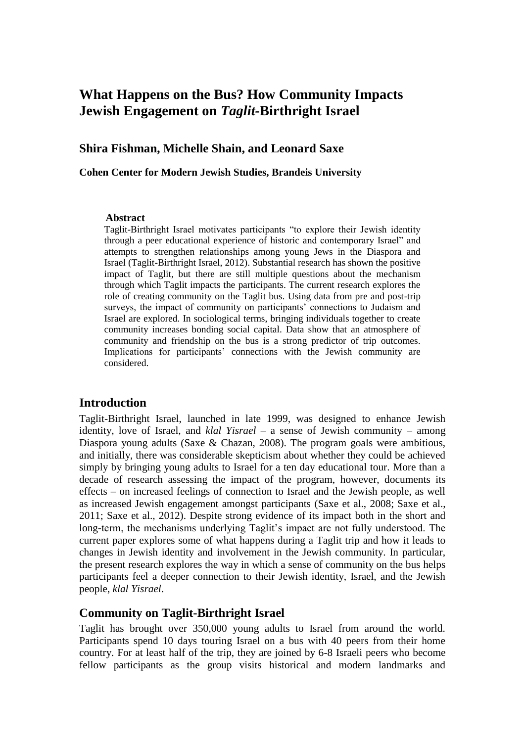## **What Happens on the Bus? How Community Impacts Jewish Engagement on** *Taglit-***Birthright Israel**

#### **Shira Fishman, Michelle Shain, and Leonard Saxe**

#### **Cohen Center for Modern Jewish Studies, Brandeis University**

#### **Abstract**

Taglit-Birthright Israel motivates participants "to explore their Jewish identity through a peer educational experience of historic and contemporary Israel" and attempts to strengthen relationships among young Jews in the Diaspora and Israel (Taglit-Birthright Israel, 2012). Substantial research has shown the positive impact of Taglit, but there are still multiple questions about the mechanism through which Taglit impacts the participants. The current research explores the role of creating community on the Taglit bus. Using data from pre and post-trip surveys, the impact of community on participants' connections to Judaism and Israel are explored. In sociological terms, bringing individuals together to create community increases bonding social capital. Data show that an atmosphere of community and friendship on the bus is a strong predictor of trip outcomes. Implications for participants' connections with the Jewish community are considered.

#### **Introduction**

Taglit-Birthright Israel, launched in late 1999, was designed to enhance Jewish identity, love of Israel, and *klal Yisrael –* a sense of Jewish community – among Diaspora young adults (Saxe & Chazan, 2008). The program goals were ambitious, and initially, there was considerable skepticism about whether they could be achieved simply by bringing young adults to Israel for a ten day educational tour. More than a decade of research assessing the impact of the program, however, documents its effects – on increased feelings of connection to Israel and the Jewish people, as well as increased Jewish engagement amongst participants (Saxe et al., 2008; Saxe et al., 2011; Saxe et al., 2012). Despite strong evidence of its impact both in the short and long-term, the mechanisms underlying Taglit's impact are not fully understood. The current paper explores some of what happens during a Taglit trip and how it leads to changes in Jewish identity and involvement in the Jewish community. In particular, the present research explores the way in which a sense of community on the bus helps participants feel a deeper connection to their Jewish identity, Israel, and the Jewish people, *klal Yisrael*.

#### **Community on Taglit-Birthright Israel**

Taglit has brought over 350,000 young adults to Israel from around the world. Participants spend 10 days touring Israel on a bus with 40 peers from their home country. For at least half of the trip, they are joined by 6-8 Israeli peers who become fellow participants as the group visits historical and modern landmarks and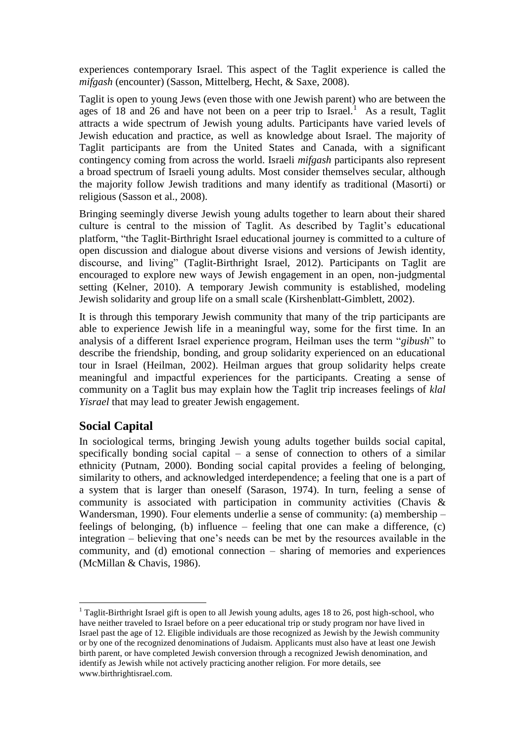experiences contemporary Israel. This aspect of the Taglit experience is called the *mifgash* (encounter) (Sasson, Mittelberg, Hecht, & Saxe, 2008).

Taglit is open to young Jews (even those with one Jewish parent) who are between the ages of 18 and 26 and have not been on a peer trip to Israel.<sup>1</sup> As a result, Taglit attracts a wide spectrum of Jewish young adults. Participants have varied levels of Jewish education and practice, as well as knowledge about Israel. The majority of Taglit participants are from the United States and Canada, with a significant contingency coming from across the world. Israeli *mifgash* participants also represent a broad spectrum of Israeli young adults. Most consider themselves secular, although the majority follow Jewish traditions and many identify as traditional (Masorti) or religious (Sasson et al., 2008).

Bringing seemingly diverse Jewish young adults together to learn about their shared culture is central to the mission of Taglit. As described by Taglit's educational platform, "the Taglit‐Birthright Israel educational journey is committed to a culture of open discussion and dialogue about diverse visions and versions of Jewish identity, discourse, and living" (Taglit-Birthright Israel, 2012). Participants on Taglit are encouraged to explore new ways of Jewish engagement in an open, non-judgmental setting (Kelner, 2010). A temporary Jewish community is established, modeling Jewish solidarity and group life on a small scale (Kirshenblatt-Gimblett, 2002).

It is through this temporary Jewish community that many of the trip participants are able to experience Jewish life in a meaningful way, some for the first time. In an analysis of a different Israel experience program, Heilman uses the term "*gibush*" to describe the friendship, bonding, and group solidarity experienced on an educational tour in Israel (Heilman, 2002). Heilman argues that group solidarity helps create meaningful and impactful experiences for the participants. Creating a sense of community on a Taglit bus may explain how the Taglit trip increases feelings of *klal Yisrael* that may lead to greater Jewish engagement.

## **Social Capital**

In sociological terms, bringing Jewish young adults together builds social capital, specifically bonding social capital – a sense of connection to others of a similar ethnicity (Putnam, 2000). Bonding social capital provides a feeling of belonging, similarity to others, and acknowledged interdependence; a feeling that one is a part of a system that is larger than oneself (Sarason, 1974). In turn, feeling a sense of community is associated with participation in community activities (Chavis & Wandersman, 1990). Four elements underlie a sense of community: (a) membership – feelings of belonging, (b) influence – feeling that one can make a difference, (c) integration – believing that one's needs can be met by the resources available in the community, and (d) emotional connection – sharing of memories and experiences (McMillan & Chavis, 1986).

 $\overline{a}$ <sup>1</sup> Taglit-Birthright Israel gift is open to all Jewish young adults, ages 18 to 26, post high-school, who have neither traveled to Israel before on a peer educational trip or study program nor have lived in Israel past the age of 12. Eligible individuals are those recognized as Jewish by the Jewish community or by one of the recognized denominations of Judaism. Applicants must also have at least one Jewish birth parent, or have completed Jewish conversion through a recognized Jewish denomination, and identify as Jewish while not actively practicing another religion. For more details, see www.birthrightisrael.com.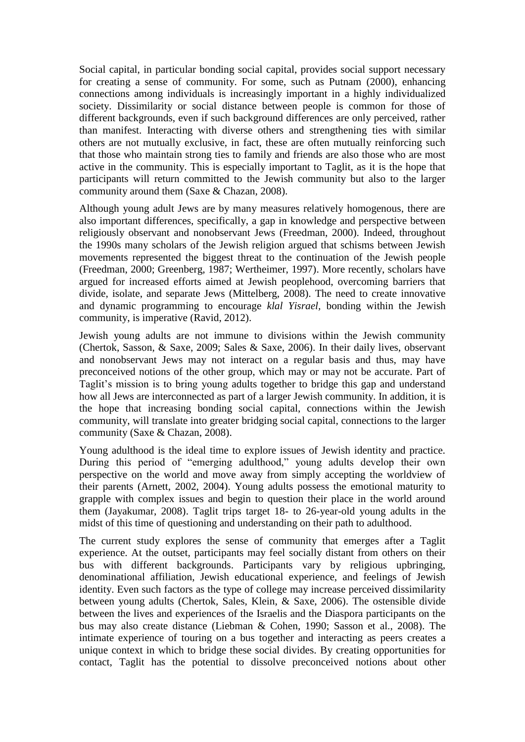Social capital, in particular bonding social capital, provides social support necessary for creating a sense of community. For some, such as Putnam (2000), enhancing connections among individuals is increasingly important in a highly individualized society. Dissimilarity or social distance between people is common for those of different backgrounds, even if such background differences are only perceived, rather than manifest. Interacting with diverse others and strengthening ties with similar others are not mutually exclusive, in fact, these are often mutually reinforcing such that those who maintain strong ties to family and friends are also those who are most active in the community. This is especially important to Taglit, as it is the hope that participants will return committed to the Jewish community but also to the larger community around them (Saxe & Chazan, 2008).

Although young adult Jews are by many measures relatively homogenous, there are also important differences, specifically, a gap in knowledge and perspective between religiously observant and nonobservant Jews (Freedman, 2000). Indeed, throughout the 1990s many scholars of the Jewish religion argued that schisms between Jewish movements represented the biggest threat to the continuation of the Jewish people (Freedman, 2000; Greenberg, 1987; Wertheimer, 1997). More recently, scholars have argued for increased efforts aimed at Jewish peoplehood, overcoming barriers that divide, isolate, and separate Jews (Mittelberg, 2008). The need to create innovative and dynamic programming to encourage *klal Yisrael,* bonding within the Jewish community, is imperative (Ravid, 2012).

Jewish young adults are not immune to divisions within the Jewish community (Chertok, Sasson, & Saxe, 2009; Sales & Saxe, 2006). In their daily lives, observant and nonobservant Jews may not interact on a regular basis and thus, may have preconceived notions of the other group, which may or may not be accurate. Part of Taglit's mission is to bring young adults together to bridge this gap and understand how all Jews are interconnected as part of a larger Jewish community. In addition, it is the hope that increasing bonding social capital, connections within the Jewish community, will translate into greater bridging social capital, connections to the larger community (Saxe & Chazan, 2008).

Young adulthood is the ideal time to explore issues of Jewish identity and practice. During this period of "emerging adulthood," young adults develop their own perspective on the world and move away from simply accepting the worldview of their parents (Arnett, 2002, 2004). Young adults possess the emotional maturity to grapple with complex issues and begin to question their place in the world around them (Jayakumar, 2008). Taglit trips target 18- to 26-year-old young adults in the midst of this time of questioning and understanding on their path to adulthood.

The current study explores the sense of community that emerges after a Taglit experience. At the outset, participants may feel socially distant from others on their bus with different backgrounds. Participants vary by religious upbringing, denominational affiliation, Jewish educational experience, and feelings of Jewish identity. Even such factors as the type of college may increase perceived dissimilarity between young adults (Chertok, Sales, Klein, & Saxe, 2006). The ostensible divide between the lives and experiences of the Israelis and the Diaspora participants on the bus may also create distance (Liebman & Cohen, 1990; Sasson et al., 2008). The intimate experience of touring on a bus together and interacting as peers creates a unique context in which to bridge these social divides. By creating opportunities for contact, Taglit has the potential to dissolve preconceived notions about other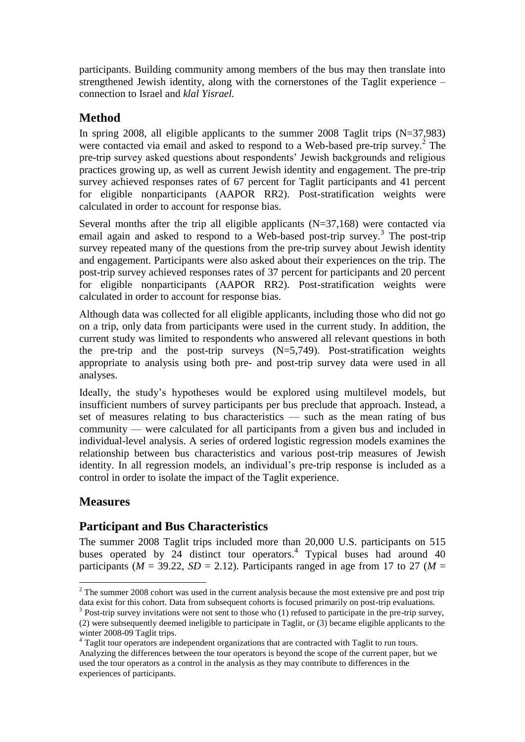participants. Building community among members of the bus may then translate into strengthened Jewish identity, along with the cornerstones of the Taglit experience – connection to Israel and *klal Yisrael.*

## **Method**

In spring 2008, all eligible applicants to the summer 2008 Taglit trips (N=37,983) were contacted via email and asked to respond to a Web-based pre-trip survey.<sup>2</sup> The pre-trip survey asked questions about respondents' Jewish backgrounds and religious practices growing up, as well as current Jewish identity and engagement. The pre-trip survey achieved responses rates of 67 percent for Taglit participants and 41 percent for eligible nonparticipants (AAPOR RR2). Post-stratification weights were calculated in order to account for response bias.

Several months after the trip all eligible applicants (N=37,168) were contacted via email again and asked to respond to a Web-based post-trip survey.<sup>3</sup> The post-trip survey repeated many of the questions from the pre-trip survey about Jewish identity and engagement. Participants were also asked about their experiences on the trip. The post-trip survey achieved responses rates of 37 percent for participants and 20 percent for eligible nonparticipants (AAPOR RR2). Post-stratification weights were calculated in order to account for response bias.

Although data was collected for all eligible applicants, including those who did not go on a trip, only data from participants were used in the current study. In addition, the current study was limited to respondents who answered all relevant questions in both the pre-trip and the post-trip surveys (N=5,749). Post-stratification weights appropriate to analysis using both pre- and post-trip survey data were used in all analyses.

Ideally, the study's hypotheses would be explored using multilevel models, but insufficient numbers of survey participants per bus preclude that approach. Instead, a set of measures relating to bus characteristics — such as the mean rating of bus community — were calculated for all participants from a given bus and included in individual-level analysis. A series of ordered logistic regression models examines the relationship between bus characteristics and various post-trip measures of Jewish identity. In all regression models, an individual's pre-trip response is included as a control in order to isolate the impact of the Taglit experience.

## **Measures**

 $\overline{a}$ 

### **Participant and Bus Characteristics**

The summer 2008 Taglit trips included more than 20,000 U.S. participants on 515 buses operated by 24 distinct tour operators.<sup>4</sup> Typical buses had around 40 participants ( $M = 39.22$ ,  $SD = 2.12$ ). Participants ranged in age from 17 to 27 ( $M =$ 

 $2$  The summer 2008 cohort was used in the current analysis because the most extensive pre and post trip data exist for this cohort. Data from subsequent cohorts is focused primarily on post-trip evaluations.

<sup>&</sup>lt;sup>3</sup> Post-trip survey invitations were not sent to those who (1) refused to participate in the pre-trip survey, (2) were subsequently deemed ineligible to participate in Taglit, or (3) became eligible applicants to the winter 2008-09 Taglit trips.

<sup>&</sup>lt;sup>4</sup> Taglit tour operators are independent organizations that are contracted with Taglit to run tours. Analyzing the differences between the tour operators is beyond the scope of the current paper, but we used the tour operators as a control in the analysis as they may contribute to differences in the experiences of participants.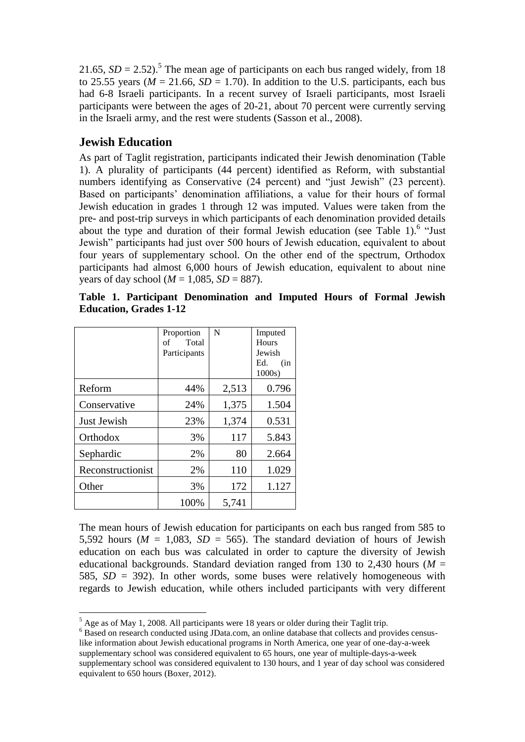21.65,  $SD = 2.52$ ).<sup>5</sup> The mean age of participants on each bus ranged widely, from 18 to 25.55 years ( $M = 21.66$ ,  $SD = 1.70$ ). In addition to the U.S. participants, each bus had 6-8 Israeli participants. In a recent survey of Israeli participants, most Israeli participants were between the ages of 20-21, about 70 percent were currently serving in the Israeli army, and the rest were students (Sasson et al., 2008).

#### **Jewish Education**

 $\overline{a}$ 

As part of Taglit registration, participants indicated their Jewish denomination (Table 1). A plurality of participants (44 percent) identified as Reform, with substantial numbers identifying as Conservative (24 percent) and "just Jewish" (23 percent). Based on participants' denomination affiliations, a value for their hours of formal Jewish education in grades 1 through 12 was imputed. Values were taken from the pre- and post-trip surveys in which participants of each denomination provided details about the type and duration of their formal Jewish education (see Table 1).<sup>6</sup> "Just Jewish" participants had just over 500 hours of Jewish education, equivalent to about four years of supplementary school. On the other end of the spectrum, Orthodox participants had almost 6,000 hours of Jewish education, equivalent to about nine years of day school ( $M = 1,085$ ,  $SD = 887$ ).

|                   | Proportion                  | N     | Imputed             |
|-------------------|-----------------------------|-------|---------------------|
|                   | Total<br>of<br>Participants |       | Hours<br>Jewish     |
|                   |                             |       | Ed.<br>(in<br>1000s |
| Reform            | 44%                         | 2,513 | 0.796               |
| Conservative      | 24%                         | 1,375 | 1.504               |
| Just Jewish       | 23%                         | 1,374 | 0.531               |
| Orthodox          | 3%                          | 117   | 5.843               |
| Sephardic         | 2%                          | 80    | 2.664               |
| Reconstructionist | 2%                          | 110   | 1.029               |
| Other             | 3%                          | 172   | 1.127               |
|                   | 100%                        | 5,741 |                     |

|  |                               | Table 1. Participant Denomination and Imputed Hours of Formal Jewish |  |  |  |
|--|-------------------------------|----------------------------------------------------------------------|--|--|--|
|  | <b>Education, Grades 1-12</b> |                                                                      |  |  |  |

The mean hours of Jewish education for participants on each bus ranged from 585 to 5,592 hours ( $M = 1,083$ ,  $SD = 565$ ). The standard deviation of hours of Jewish education on each bus was calculated in order to capture the diversity of Jewish educational backgrounds. Standard deviation ranged from 130 to 2,430 hours ( $M =$ 585, *SD* = 392). In other words, some buses were relatively homogeneous with regards to Jewish education, while others included participants with very different

 $<sup>5</sup>$  Age as of May 1, 2008. All participants were 18 years or older during their Taglit trip.</sup>

<sup>&</sup>lt;sup>6</sup> Based on research conducted using JData.com, an online database that collects and provides censuslike information about Jewish educational programs in North America, one year of one-day-a-week supplementary school was considered equivalent to 65 hours, one year of multiple-days-a-week supplementary school was considered equivalent to 130 hours, and 1 year of day school was considered equivalent to 650 hours (Boxer, 2012).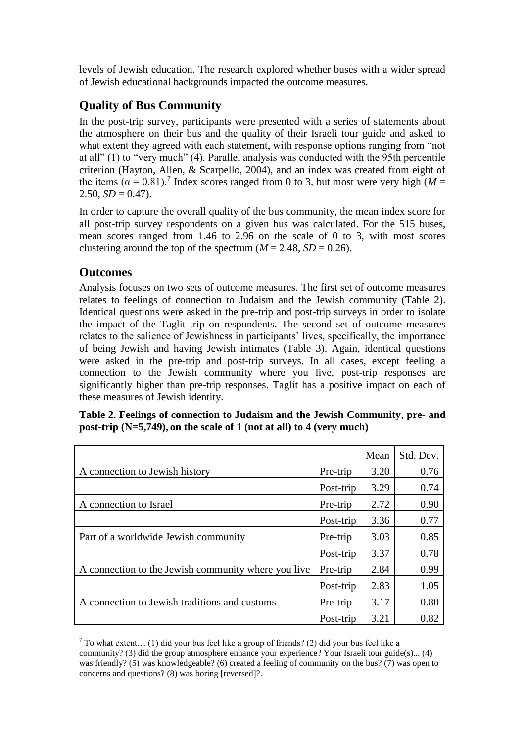levels of Jewish education. The research explored whether buses with a wider spread of Jewish educational backgrounds impacted the outcome measures.

## **Quality of Bus Community**

In the post-trip survey, participants were presented with a series of statements about the atmosphere on their bus and the quality of their Israeli tour guide and asked to what extent they agreed with each statement, with response options ranging from "not at all" (1) to "very much" (4). Parallel analysis was conducted with the 95th percentile criterion (Hayton, Allen, & Scarpello, 2004), and an index was created from eight of the items  $(\alpha = 0.81)$ .<sup>7</sup> Index scores ranged from 0 to 3, but most were very high (*M* =  $2.50, SD = 0.47$ .

In order to capture the overall quality of the bus community, the mean index score for all post-trip survey respondents on a given bus was calculated. For the 515 buses, mean scores ranged from 1.46 to 2.96 on the scale of 0 to 3, with most scores clustering around the top of the spectrum  $(M = 2.48, SD = 0.26)$ .

## **Outcomes**

 $\overline{a}$ 

Analysis focuses on two sets of outcome measures. The first set of outcome measures relates to feelings of connection to Judaism and the Jewish community (Table 2). Identical questions were asked in the pre-trip and post-trip surveys in order to isolate the impact of the Taglit trip on respondents. The second set of outcome measures relates to the salience of Jewishness in participants' lives, specifically, the importance of being Jewish and having Jewish intimates (Table 3). Again, identical questions were asked in the pre-trip and post-trip surveys. In all cases, except feeling a connection to the Jewish community where you live, post-trip responses are significantly higher than pre-trip responses. Taglit has a positive impact on each of these measures of Jewish identity.

| Table 2. Feelings of connection to Judaism and the Jewish Community, pre- and |
|-------------------------------------------------------------------------------|
| post-trip $(N=5,749)$ , on the scale of 1 (not at all) to 4 (very much)       |

|                                                     |           | Mean | Std. Dev. |
|-----------------------------------------------------|-----------|------|-----------|
| A connection to Jewish history                      | Pre-trip  | 3.20 | 0.76      |
|                                                     | Post-trip | 3.29 | 0.74      |
| A connection to Israel                              | Pre-trip  | 2.72 | 0.90      |
|                                                     | Post-trip | 3.36 | 0.77      |
| Part of a worldwide Jewish community                | Pre-trip  | 3.03 | 0.85      |
|                                                     | Post-trip | 3.37 | 0.78      |
| A connection to the Jewish community where you live | Pre-trip  | 2.84 | 0.99      |
|                                                     | Post-trip | 2.83 | 1.05      |
| A connection to Jewish traditions and customs       | Pre-trip  | 3.17 | 0.80      |
|                                                     | Post-trip | 3.21 | 0.82      |

 $7$  To what extent... (1) did your bus feel like a group of friends? (2) did your bus feel like a community? (3) did the group atmosphere enhance your experience? Your Israeli tour guide(s)... (4) was friendly? (5) was knowledgeable? (6) created a feeling of community on the bus? (7) was open to concerns and questions? (8) was boring [reversed]?.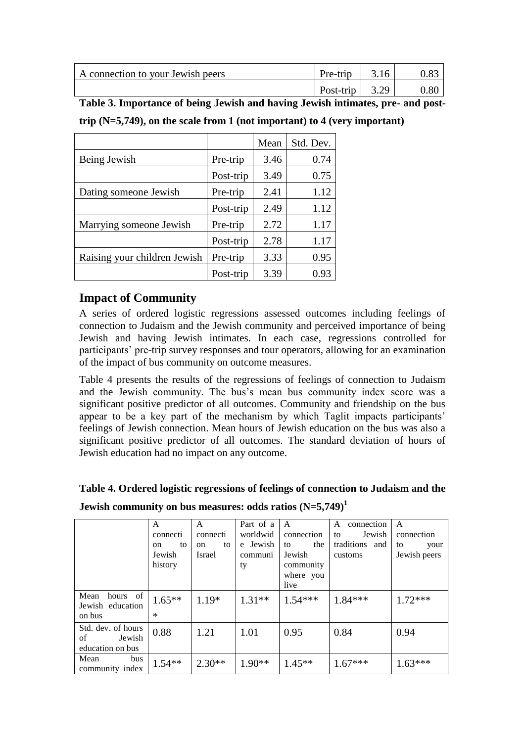| A connection to your Jewish peers | Pre-trip   $3.16$ | 0.83 |
|-----------------------------------|-------------------|------|
|                                   | Post-trip $3.29$  | 0.80 |

**Table 3. Importance of being Jewish and having Jewish intimates, pre- and post-**

|                              |           | Mean | Std. Dev. |
|------------------------------|-----------|------|-----------|
| Being Jewish                 | Pre-trip  | 3.46 | 0.74      |
|                              | Post-trip | 3.49 | 0.75      |
| Dating someone Jewish        | Pre-trip  | 2.41 | 1.12      |
|                              | Post-trip | 2.49 | 1.12      |
| Marrying someone Jewish      | Pre-trip  | 2.72 | 1.17      |
|                              | Post-trip | 2.78 | 1.17      |
| Raising your children Jewish | Pre-trip  | 3.33 | 0.95      |
|                              | Post-trip | 3.39 | 0.93      |

**trip (N=5,749), on the scale from 1 (not important) to 4 (very important)**

## **Impact of Community**

A series of ordered logistic regressions assessed outcomes including feelings of connection to Judaism and the Jewish community and perceived importance of being Jewish and having Jewish intimates. In each case, regressions controlled for participants' pre-trip survey responses and tour operators, allowing for an examination of the impact of bus community on outcome measures.

Table 4 presents the results of the regressions of feelings of connection to Judaism and the Jewish community. The bus's mean bus community index score was a significant positive predictor of all outcomes. Community and friendship on the bus appear to be a key part of the mechanism by which Taglit impacts participants' feelings of Jewish connection. Mean hours of Jewish education on the bus was also a significant positive predictor of all outcomes. The standard deviation of hours of Jewish education had no impact on any outcome.

|                                      | A                   | A        | Part of a | A          | connection<br>A | A            |
|--------------------------------------|---------------------|----------|-----------|------------|-----------------|--------------|
|                                      | connecti            | connecti | worldwid  | connection | Jewish<br>to    | connection   |
|                                      | to<br><sub>on</sub> | to<br>on | e Jewish  | the<br>to  | traditions and  | to<br>your   |
|                                      | Jewish              | Israel   | communi   | Jewish     | customs         | Jewish peers |
|                                      | history             |          | ty        | community  |                 |              |
|                                      |                     |          |           | where you  |                 |              |
|                                      |                     |          |           | live       |                 |              |
| hours of<br>Mean<br>Jewish education | $1.65***$           | $1.19*$  | $1.31**$  | $1.54***$  | $1.84***$       | $1.72***$    |
| on bus                               | $\ast$              |          |           |            |                 |              |
| Std. dev. of hours                   | 0.88                | 1.21     | 1.01      | 0.95       | 0.84            | 0.94         |
| of<br>Jewish                         |                     |          |           |            |                 |              |
| education on bus                     |                     |          |           |            |                 |              |
| Mean<br>bus                          | $1.54**$            | $2.30**$ | $1.90**$  | $1.45**$   | $1.67***$       | $1.63***$    |
| community index                      |                     |          |           |            |                 |              |

**Table 4. Ordered logistic regressions of feelings of connection to Judaism and the** 

**Jewish community on bus measures: odds ratios (N=5,749)<sup>1</sup>**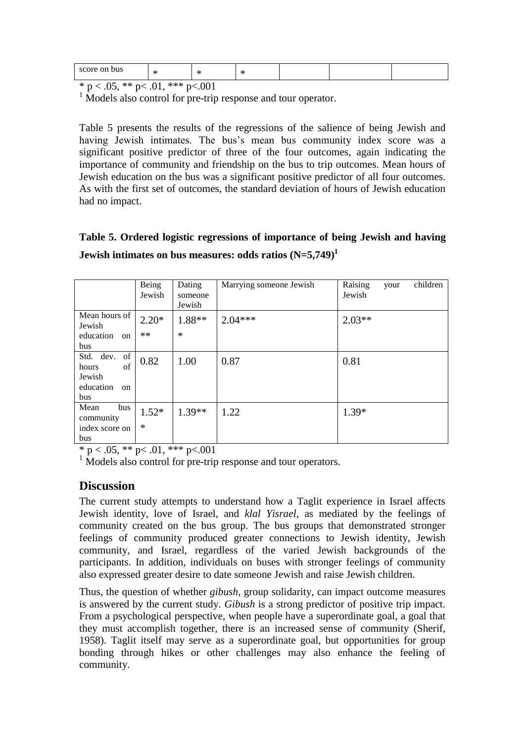| score on<br>bus                     | -14<br>∽               | AL.<br>$\sim$ |  |  |
|-------------------------------------|------------------------|---------------|--|--|
| ماد ماد<br>$\Omega$<br>$\mathbf{d}$ | ملوماه ماه<br>$\sim$ 1 | $\sqrt{201}$  |  |  |

 $\overline{\ast p}$  < .05,  $\ast \ast p$  < .01,  $\ast \ast \ast p$  < .001

<sup>1</sup> Models also control for pre-trip response and tour operator.

Table 5 presents the results of the regressions of the salience of being Jewish and having Jewish intimates. The bus's mean bus community index score was a significant positive predictor of three of the four outcomes, again indicating the importance of community and friendship on the bus to trip outcomes. Mean hours of Jewish education on the bus was a significant positive predictor of all four outcomes. As with the first set of outcomes, the standard deviation of hours of Jewish education had no impact.

## **Table 5. Ordered logistic regressions of importance of being Jewish and having Jewish intimates on bus measures: odds ratios (N=5,749)<sup>1</sup>**

|                                  | Being<br>Jewish  | Dating<br>someone<br>Jewish | Marrying someone Jewish | Raising<br>children<br>your<br>Jewish |
|----------------------------------|------------------|-----------------------------|-------------------------|---------------------------------------|
| Mean hours of<br>Jewish          | $2.20*$<br>$***$ | 1.88**<br>$\ast$            | $2.04***$               | $2.03**$                              |
| education<br>on<br>bus           |                  |                             |                         |                                       |
| Std. dev. of<br>of<br>hours      | 0.82             | 1.00                        | 0.87                    | 0.81                                  |
| Jewish<br>education<br>on<br>bus |                  |                             |                         |                                       |
| Mean<br>bus<br>community         | $1.52*$          | $1.39**$                    | 1.22                    | $1.39*$                               |
| index score on<br>bus            | $\ast$           |                             |                         |                                       |

\* p < .05, \*\* p < .01, \*\*\* p < .001

<sup>1</sup> Models also control for pre-trip response and tour operators.

#### **Discussion**

The current study attempts to understand how a Taglit experience in Israel affects Jewish identity, love of Israel, and *klal Yisrael*, as mediated by the feelings of community created on the bus group. The bus groups that demonstrated stronger feelings of community produced greater connections to Jewish identity, Jewish community, and Israel, regardless of the varied Jewish backgrounds of the participants. In addition, individuals on buses with stronger feelings of community also expressed greater desire to date someone Jewish and raise Jewish children.

Thus, the question of whether *gibush*, group solidarity, can impact outcome measures is answered by the current study. *Gibush* is a strong predictor of positive trip impact. From a psychological perspective, when people have a superordinate goal, a goal that they must accomplish together, there is an increased sense of community (Sherif, 1958). Taglit itself may serve as a superordinate goal, but opportunities for group bonding through hikes or other challenges may also enhance the feeling of community.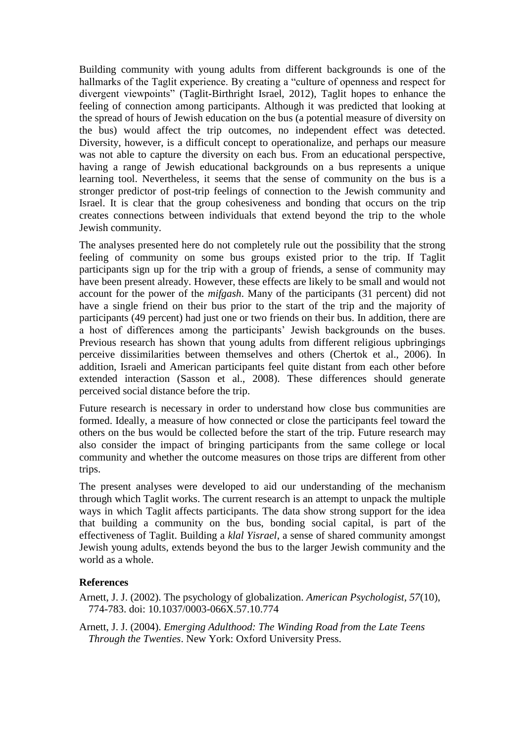Building community with young adults from different backgrounds is one of the hallmarks of the Taglit experience. By creating a "culture of openness and respect for divergent viewpoints" (Taglit-Birthright Israel, 2012), Taglit hopes to enhance the feeling of connection among participants. Although it was predicted that looking at the spread of hours of Jewish education on the bus (a potential measure of diversity on the bus) would affect the trip outcomes, no independent effect was detected. Diversity, however, is a difficult concept to operationalize, and perhaps our measure was not able to capture the diversity on each bus. From an educational perspective, having a range of Jewish educational backgrounds on a bus represents a unique learning tool. Nevertheless, it seems that the sense of community on the bus is a stronger predictor of post-trip feelings of connection to the Jewish community and Israel. It is clear that the group cohesiveness and bonding that occurs on the trip creates connections between individuals that extend beyond the trip to the whole Jewish community.

The analyses presented here do not completely rule out the possibility that the strong feeling of community on some bus groups existed prior to the trip. If Taglit participants sign up for the trip with a group of friends, a sense of community may have been present already. However, these effects are likely to be small and would not account for the power of the *mifgash*. Many of the participants (31 percent) did not have a single friend on their bus prior to the start of the trip and the majority of participants (49 percent) had just one or two friends on their bus. In addition, there are a host of differences among the participants' Jewish backgrounds on the buses. Previous research has shown that young adults from different religious upbringings perceive dissimilarities between themselves and others (Chertok et al., 2006). In addition, Israeli and American participants feel quite distant from each other before extended interaction (Sasson et al., 2008). These differences should generate perceived social distance before the trip.

Future research is necessary in order to understand how close bus communities are formed. Ideally, a measure of how connected or close the participants feel toward the others on the bus would be collected before the start of the trip. Future research may also consider the impact of bringing participants from the same college or local community and whether the outcome measures on those trips are different from other trips.

The present analyses were developed to aid our understanding of the mechanism through which Taglit works. The current research is an attempt to unpack the multiple ways in which Taglit affects participants. The data show strong support for the idea that building a community on the bus, bonding social capital, is part of the effectiveness of Taglit. Building a *klal Yisrael*, a sense of shared community amongst Jewish young adults, extends beyond the bus to the larger Jewish community and the world as a whole.

#### **References**

Arnett, J. J. (2002). The psychology of globalization. *American Psychologist, 57*(10), 774-783. doi: 10.1037/0003-066X.57.10.774

Arnett, J. J. (2004). *Emerging Adulthood: The Winding Road from the Late Teens Through the Twenties*. New York: Oxford University Press.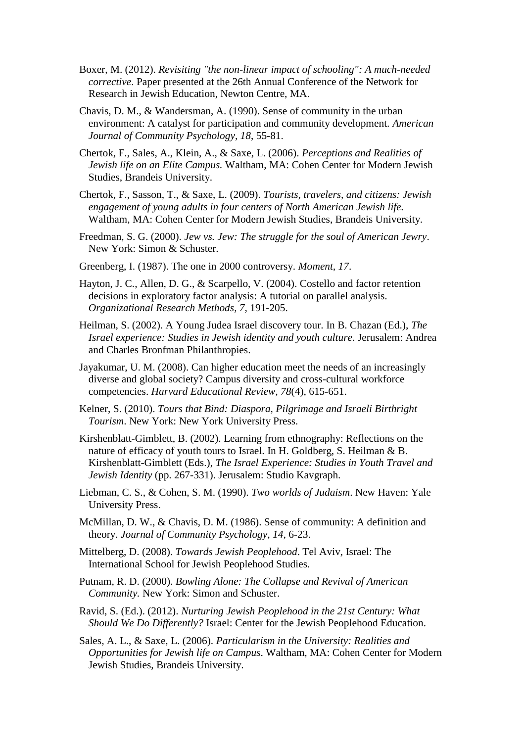- Boxer, M. (2012). *Revisiting "the non-linear impact of schooling": A much-needed corrective*. Paper presented at the 26th Annual Conference of the Network for Research in Jewish Education, Newton Centre, MA.
- Chavis, D. M., & Wandersman, A. (1990). Sense of community in the urban environment: A catalyst for participation and community development. *American Journal of Community Psychology, 18*, 55-81.
- Chertok, F., Sales, A., Klein, A., & Saxe, L. (2006). *Perceptions and Realities of Jewish life on an Elite Campus.* Waltham, MA: Cohen Center for Modern Jewish Studies, Brandeis University.
- Chertok, F., Sasson, T., & Saxe, L. (2009). *Tourists, travelers, and citizens: Jewish engagement of young adults in four centers of North American Jewish life.* Waltham, MA: Cohen Center for Modern Jewish Studies, Brandeis University.
- Freedman, S. G. (2000). *Jew vs. Jew: The struggle for the soul of American Jewry*. New York: Simon & Schuster.
- Greenberg, I. (1987). The one in 2000 controversy. *Moment, 17*.
- Hayton, J. C., Allen, D. G., & Scarpello, V. (2004). Costello and factor retention decisions in exploratory factor analysis: A tutorial on parallel analysis. *Organizational Research Methods, 7*, 191-205.
- Heilman, S. (2002). A Young Judea Israel discovery tour. In B. Chazan (Ed.), *The Israel experience: Studies in Jewish identity and youth culture*. Jerusalem: Andrea and Charles Bronfman Philanthropies.
- Jayakumar, U. M. (2008). Can higher education meet the needs of an increasingly diverse and global society? Campus diversity and cross-cultural workforce competencies. *Harvard Educational Review, 78*(4), 615-651.
- Kelner, S. (2010). *Tours that Bind: Diaspora, Pilgrimage and Israeli Birthright Tourism*. New York: New York University Press.
- Kirshenblatt-Gimblett, B. (2002). Learning from ethnography: Reflections on the nature of efficacy of youth tours to Israel. In H. Goldberg, S. Heilman & B. Kirshenblatt-Gimblett (Eds.), *The Israel Experience: Studies in Youth Travel and Jewish Identity* (pp. 267-331). Jerusalem: Studio Kavgraph.
- Liebman, C. S., & Cohen, S. M. (1990). *Two worlds of Judaism*. New Haven: Yale University Press.
- McMillan, D. W., & Chavis, D. M. (1986). Sense of community: A definition and theory. *Journal of Community Psychology, 14*, 6-23.
- Mittelberg, D. (2008). *Towards Jewish Peoplehood*. Tel Aviv, Israel: The International School for Jewish Peoplehood Studies.
- Putnam, R. D. (2000). *Bowling Alone: The Collapse and Revival of American Community.* New York: Simon and Schuster.
- Ravid, S. (Ed.). (2012). *Nurturing Jewish Peoplehood in the 21st Century: What Should We Do Differently?* Israel: Center for the Jewish Peoplehood Education.
- Sales, A. L., & Saxe, L. (2006). *Particularism in the University: Realities and Opportunities for Jewish life on Campus*. Waltham, MA: Cohen Center for Modern Jewish Studies, Brandeis University.